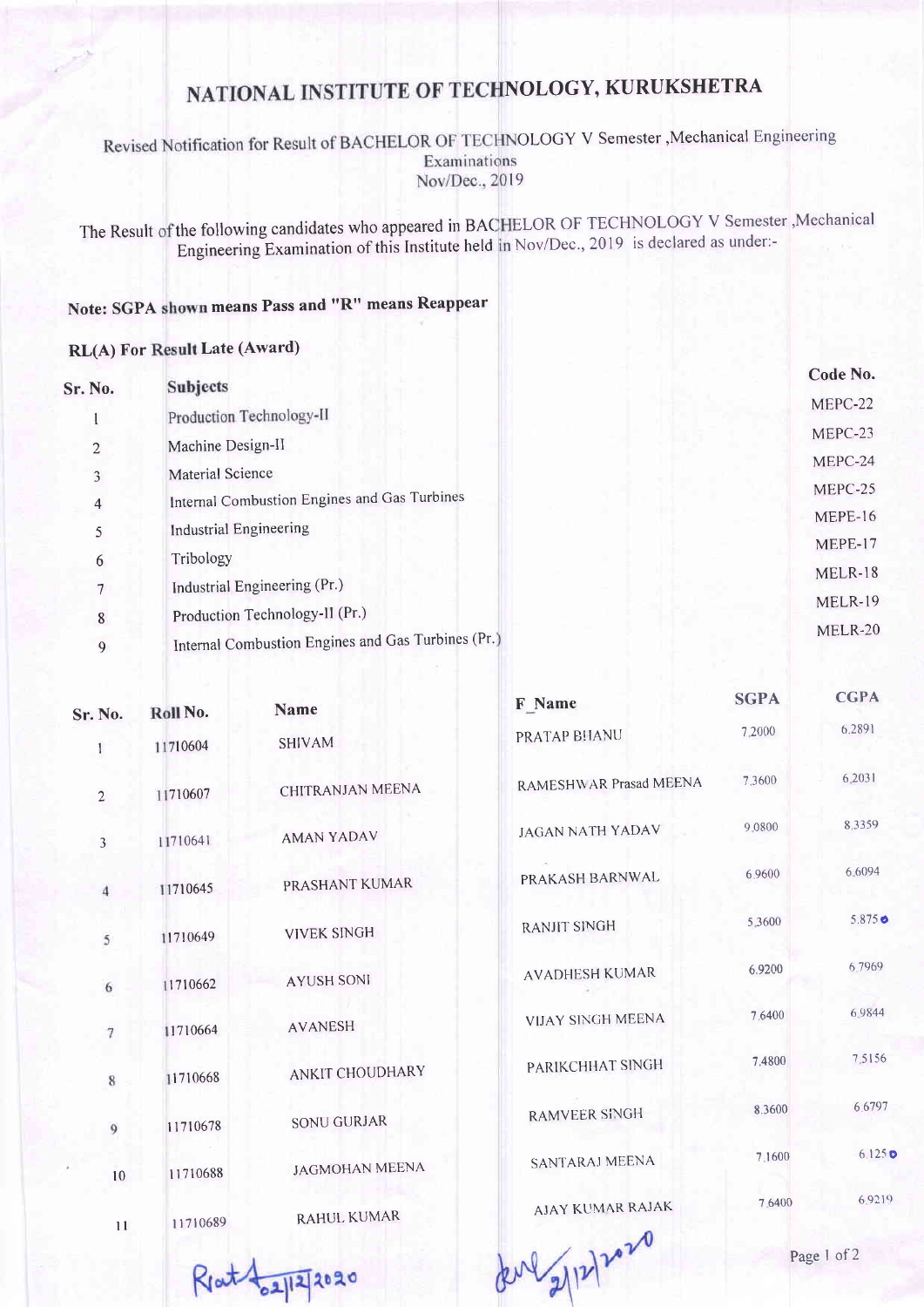## NATIONAL INSTITUTE OF TECHNOLOGY, KURUKSHETRA

OLOGY V Semester,Mechanical Engineering Examinations Nov/Dec., 2019

The Result of the following candidates who appeared in BACHELOR OF TECHNOLOGY V Semester, Mechanica Engineering Examination of this [nstitute held Nov/Dec.,2019 is declared as under:-

## Note: SGPA shown means Pass and "R" means Reappear

## RL(A) For Result Late (Award)

9

| <b>Sr. No.</b> | <b>Subjects</b>                                    | Code No.       |
|----------------|----------------------------------------------------|----------------|
|                |                                                    | MEPC-22        |
|                | Production Technology-II                           | MEPC-23        |
| 2              | Machine Design-II                                  |                |
| 3              | Material Science                                   | MEPC-24        |
| $\overline{4}$ | Internal Combustion Engines and Gas Turbines       | MEPC-25        |
| 5              | Industrial Engineering                             | MEPE-16        |
|                |                                                    | MEPE-17        |
| 6              | Tribology                                          | MELR-18        |
|                | Industrial Engineering (Pr.)                       | <b>MELR-19</b> |
| 8              | Production Technology-II (Pr.)                     |                |
| Q              | Internal Combustion Engines and Gas Turbines (Pr.) | MELR-20        |

| <b>Sr. No.</b> | Roll No. | <b>Name</b>           | F Name                   | <b>SGPA</b> | <b>CGPA</b>     |
|----------------|----------|-----------------------|--------------------------|-------------|-----------------|
| 1              | 11710604 | <b>SHIVAM</b>         | PRATAP BHANU             | 7,2000      | 6.2891          |
| $\overline{2}$ | 11710607 | CHITRANJAN MEENA      | RAMESHWAR Prasad MEENA   | 7.3600      | 6,2031          |
| $\overline{3}$ | 11710641 | <b>AMAN YADAV</b>     | <b>JAGAN NATH YADAV</b>  | 9.0800      | 8.3359          |
| $\overline{4}$ | 11710645 | PRASHANT KUMAR        | PRAKASH BARNWAL          | 6.9600      | 6.6094          |
| 5              | 11710649 | <b>VIVEK SINGH</b>    | <b>RANJIT SINGH</b>      | 5.3600      | $5.875 \bullet$ |
| 6              | 11710662 | <b>AYUSH SONI</b>     | <b>AVADHESH KUMAR</b>    | 6.9200      | 6.7969          |
| $\overline{7}$ | 11710664 | <b>AVANESH</b>        | <b>VIJAY SINGH MEENA</b> | 7.6400      | 6.9844          |
| $\,$           | 11710668 | ANKIT CHOUDHARY       | PARIKCHHAT SINGH         | 7.4800      | 7.5156          |
| $\overline{9}$ | 11710678 | <b>SONU GURJAR</b>    | <b>RAMVEER SINGH</b>     | 8.3600      | 6.6797          |
| 10             | 11710688 | <b>JAGMOHAN MEENA</b> | <b>SANTARAJ MEENA</b>    | 7.1600      | 6.125c          |
| 11             | 11710689 | <b>RAHUL KUMAR</b>    | <b>AJAY KUMAR RAJAK</b>  | 7.6400      | 6.9219          |
|                |          |                       | $\sim$                   |             |                 |

 $R_{1}$ at  $\frac{1}{2}$ 12/2020

deve 2/12/2020